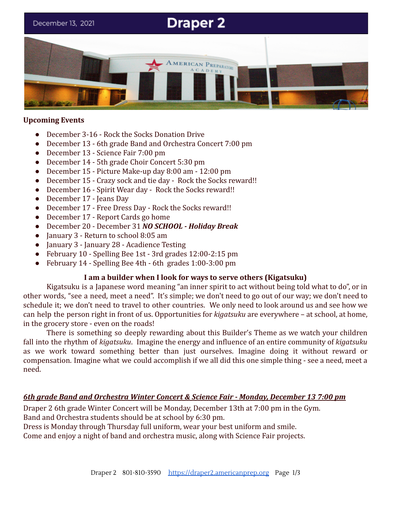# **Draper 2**

December 13, 2021



#### **Upcoming Events**

- December 3-16 Rock the Socks Donation Drive
- December 13 6th grade Band and Orchestra Concert 7:00 pm
- December 13 Science Fair 7:00 pm
- December 14 5th grade Choir Concert 5:30 pm
- December 15 Picture Make-up day 8:00 am 12:00 pm
- December 15 Crazy sock and tie day Rock the Socks reward!!
- December 16 Spirit Wear day Rock the Socks reward!!
- December 17 Jeans Day
- December 17 Free Dress Day Rock the Socks reward!!
- December 17 Report Cards go home
- December 20 December 31 *NO SCHOOL Holiday Break*
- January 3 Return to school 8:05 am
- January 3 January 28 Acadience Testing
- February 10 Spelling Bee 1st 3rd grades 12:00-2:15 pm
- February 14 Spelling Bee 4th 6th grades 1:00-3:00 pm

#### **I am a builder when I look for ways to serve others (Kigatsuku)**

Kigatsuku is a Japanese word meaning "an inner spirit to act without being told what to do", or in other words, "see a need, meet a need". It's simple; we don't need to go out of our way; we don't need to schedule it; we don't need to travel to other countries. We only need to look around us and see how we can help the person right in front of us. Opportunities for *kigatsuku* are everywhere – at school, at home, in the grocery store - even on the roads!

There is something so deeply rewarding about this Builder's Theme as we watch your children fall into the rhythm of *kigatsuku*. Imagine the energy and influence of an entire community of *kigatsuku* as we work toward something better than just ourselves. Imagine doing it without reward or compensation. Imagine what we could accomplish if we all did this one simple thing - see a need, meet a need.

#### *6th grade Band and Orchestra Winter Concert & Science Fair - Monday, December 13 7:00 pm*

Draper 2 6th grade Winter Concert will be Monday, December 13th at 7:00 pm in the Gym. Band and Orchestra students should be at school by 6:30 pm.

Dress is Monday through Thursday full uniform, wear your best uniform and smile.

Come and enjoy a night of band and orchestra music, along with Science Fair projects.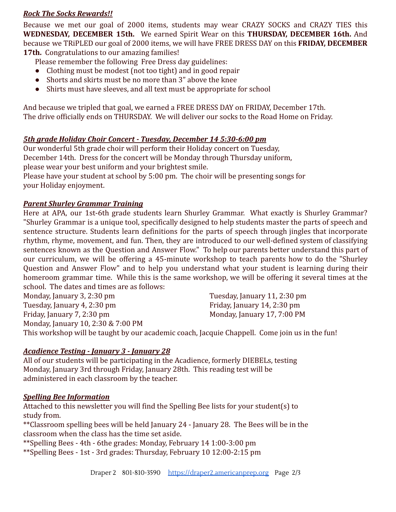## *Rock The Socks Rewards!!*

Because we met our goal of 2000 items, students may wear CRAZY SOCKS and CRAZY TIES this **WEDNESDAY, DECEMBER 15th.** We earned Spirit Wear on this **THURSDAY, DECEMBER 16th.** And because we TRiPLED our goal of 2000 items, we will have FREE DRESS DAY on this **FRIDAY, DECEMBER 17th.** Congratulations to our amazing families!

Please remember the following Free Dress day guidelines:

- Clothing must be modest (not too tight) and in good repair
- Shorts and skirts must be no more than 3" above the knee
- Shirts must have sleeves, and all text must be appropriate for school

And because we tripled that goal, we earned a FREE DRESS DAY on FRIDAY, December 17th. The drive officially ends on THURSDAY. We will deliver our socks to the Road Home on Friday.

# *5th grade Holiday Choir Concert - Tuesday, December 14 5:30-6:00 pm*

Our wonderful 5th grade choir will perform their Holiday concert on Tuesday, December 14th. Dress for the concert will be Monday through Thursday uniform, please wear your best uniform and your brightest smile. Please have your student at school by 5:00 pm. The choir will be presenting songs for your Holiday enjoyment.

## *Parent Shurley Grammar Training*

Here at APA, our 1st-6th grade students learn Shurley Grammar. What exactly is Shurley Grammar? "Shurley Grammar is a unique tool, specifically designed to help students master the parts of speech and sentence structure. Students learn definitions for the parts of speech through jingles that incorporate rhythm, rhyme, movement, and fun. Then, they are introduced to our well-defined system of classifying sentences known as the Question and Answer Flow." To help our parents better understand this part of our curriculum, we will be offering a 45-minute workshop to teach parents how to do the "Shurley Question and Answer Flow" and to help you understand what your student is learning during their homeroom grammar time. While this is the same workshop, we will be offering it several times at the school. The dates and times are as follows:

| Monday, January 3, 2:30 pm         | Tuesday, January 11, 2:30 pm |
|------------------------------------|------------------------------|
| Tuesday, January 4, 2:30 pm        | Friday, January 14, 2:30 pm  |
| Friday, January 7, 2:30 pm         | Monday, January 17, 7:00 PM  |
| Monday, January 10, 2:30 & 7:00 PM |                              |
|                                    |                              |

This workshop will be taught by our academic coach, Jacquie Chappell. Come join us in the fun!

# *Acadience Testing - January 3 - January 28*

All of our students will be participating in the Acadience, formerly DIEBELs, testing Monday, January 3rd through Friday, January 28th. This reading test will be administered in each classroom by the teacher.

#### *Spelling Bee Information*

Attached to this newsletter you will find the Spelling Bee lists for your student(s) to study from.

\*\*Classroom spelling bees will be held January 24 - January 28. The Bees will be in the classroom when the class has the time set aside.

\*\*Spelling Bees - 4th - 6the grades: Monday, February 14 1:00-3:00 pm

\*\*Spelling Bees - 1st - 3rd grades: Thursday, February 10 12:00-2:15 pm